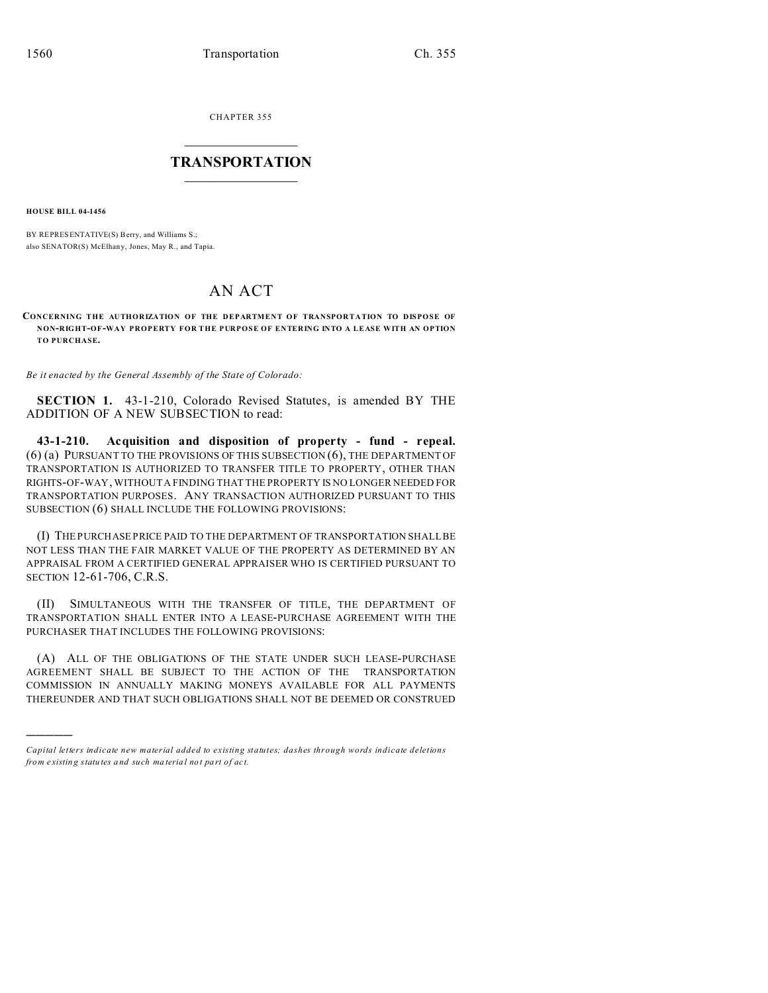CHAPTER 355  $\overline{\phantom{a}}$  , where  $\overline{\phantom{a}}$ 

## **TRANSPORTATION**  $\_$   $\_$   $\_$   $\_$   $\_$   $\_$   $\_$   $\_$   $\_$

**HOUSE BILL 04-1456**

)))))

BY REPRESENTATIVE(S) Berry, and Williams S.; also SENATOR(S) McElhany, Jones, May R., and Tapia.

## AN ACT

**CONCERNING THE AUTHORIZATION OF THE DEPARTMENT OF TRANSPORTATION TO DISPOSE OF NON-RIGHT-OF-WAY PROPERTY FOR THE PURPOSE OF ENTERING INTO A LEASE WITH AN OPTION TO PURCHASE.**

*Be it enacted by the General Assembly of the State of Colorado:*

**SECTION 1.** 43-1-210, Colorado Revised Statutes, is amended BY THE ADDITION OF A NEW SUBSECTION to read:

**43-1-210. Acquisition and disposition of property - fund - repeal.** (6) (a) PURSUANT TO THE PROVISIONS OF THIS SUBSECTION (6), THE DEPARTMENT OF TRANSPORTATION IS AUTHORIZED TO TRANSFER TITLE TO PROPERTY, OTHER THAN RIGHTS-OF-WAY, WITHOUT A FINDING THAT THE PROPERTY IS NO LONGER NEEDED FOR TRANSPORTATION PURPOSES. ANY TRANSACTION AUTHORIZED PURSUANT TO THIS SUBSECTION (6) SHALL INCLUDE THE FOLLOWING PROVISIONS:

(I) THE PURCHASE PRICE PAID TO THE DEPARTMENT OF TRANSPORTATION SHALL BE NOT LESS THAN THE FAIR MARKET VALUE OF THE PROPERTY AS DETERMINED BY AN APPRAISAL FROM A CERTIFIED GENERAL APPRAISER WHO IS CERTIFIED PURSUANT TO SECTION 12-61-706, C.R.S.

(II) SIMULTANEOUS WITH THE TRANSFER OF TITLE, THE DEPARTMENT OF TRANSPORTATION SHALL ENTER INTO A LEASE-PURCHASE AGREEMENT WITH THE PURCHASER THAT INCLUDES THE FOLLOWING PROVISIONS:

(A) ALL OF THE OBLIGATIONS OF THE STATE UNDER SUCH LEASE-PURCHASE AGREEMENT SHALL BE SUBJECT TO THE ACTION OF THE TRANSPORTATION COMMISSION IN ANNUALLY MAKING MONEYS AVAILABLE FOR ALL PAYMENTS THEREUNDER AND THAT SUCH OBLIGATIONS SHALL NOT BE DEEMED OR CONSTRUED

*Capital letters indicate new material added to existing statutes; dashes through words indicate deletions from e xistin g statu tes a nd such ma teria l no t pa rt of ac t.*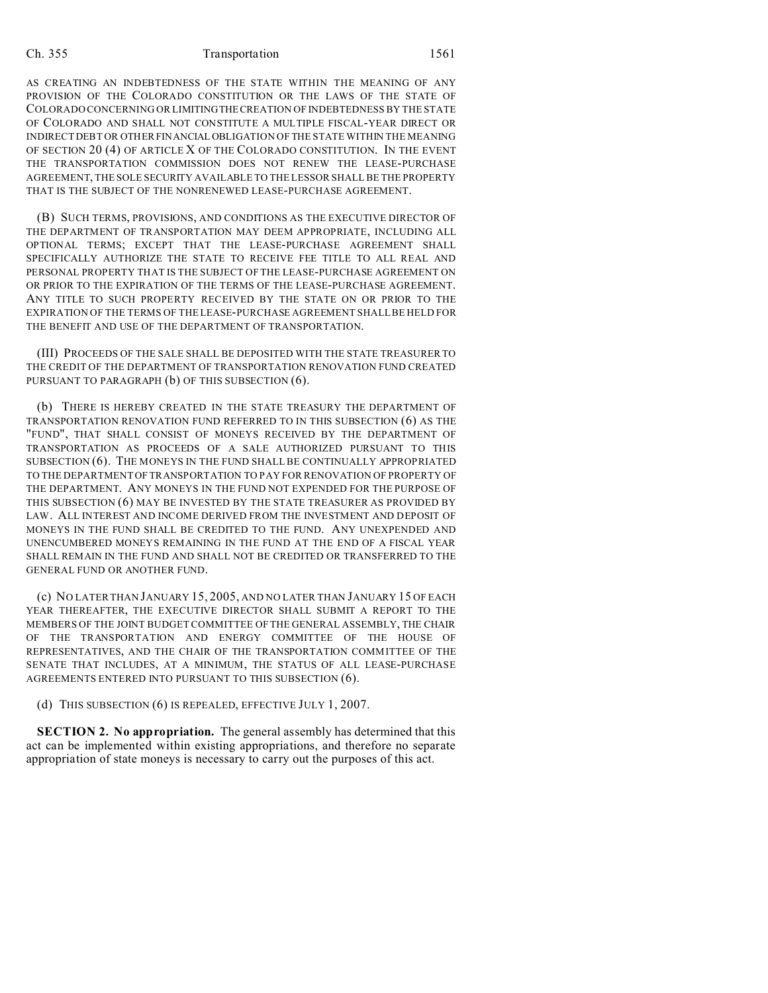## Ch. 355 Transportation 1561

AS CREATING AN INDEBTEDNESS OF THE STATE WITHIN THE MEANING OF ANY PROVISION OF THE COLORADO CONSTITUTION OR THE LAWS OF THE STATE OF COLORADO CONCERNING OR LIMITINGTHECREATION OF INDEBTEDNESS BY THE STATE OF COLORADO AND SHALL NOT CONSTITUTE A MULTIPLE FISCAL-YEAR DIRECT OR INDIRECT DEBT OR OTHER FINANCIAL OBLIGATION OF THE STATE WITHIN THE MEANING OF SECTION 20 (4) OF ARTICLE X OF THE COLORADO CONSTITUTION. IN THE EVENT THE TRANSPORTATION COMMISSION DOES NOT RENEW THE LEASE-PURCHASE AGREEMENT, THE SOLE SECURITY AVAILABLE TO THE LESSOR SHALL BE THE PROPERTY THAT IS THE SUBJECT OF THE NONRENEWED LEASE-PURCHASE AGREEMENT.

(B) SUCH TERMS, PROVISIONS, AND CONDITIONS AS THE EXECUTIVE DIRECTOR OF THE DEPARTMENT OF TRANSPORTATION MAY DEEM APPROPRIATE, INCLUDING ALL OPTIONAL TERMS; EXCEPT THAT THE LEASE-PURCHASE AGREEMENT SHALL SPECIFICALLY AUTHORIZE THE STATE TO RECEIVE FEE TITLE TO ALL REAL AND PERSONAL PROPERTY THAT IS THE SUBJECT OF THE LEASE-PURCHASE AGREEMENT ON OR PRIOR TO THE EXPIRATION OF THE TERMS OF THE LEASE-PURCHASE AGREEMENT. ANY TITLE TO SUCH PROPERTY RECEIVED BY THE STATE ON OR PRIOR TO THE EXPIRATION OF THE TERMS OF THE LEASE-PURCHASE AGREEMENT SHALL BE HELD FOR THE BENEFIT AND USE OF THE DEPARTMENT OF TRANSPORTATION.

(III) PROCEEDS OF THE SALE SHALL BE DEPOSITED WITH THE STATE TREASURER TO THE CREDIT OF THE DEPARTMENT OF TRANSPORTATION RENOVATION FUND CREATED PURSUANT TO PARAGRAPH (b) OF THIS SUBSECTION (6).

(b) THERE IS HEREBY CREATED IN THE STATE TREASURY THE DEPARTMENT OF TRANSPORTATION RENOVATION FUND REFERRED TO IN THIS SUBSECTION (6) AS THE "FUND", THAT SHALL CONSIST OF MONEYS RECEIVED BY THE DEPARTMENT OF TRANSPORTATION AS PROCEEDS OF A SALE AUTHORIZED PURSUANT TO THIS SUBSECTION (6). THE MONEYS IN THE FUND SHALL BE CONTINUALLY APPROPRIATED TO THE DEPARTMENT OF TRANSPORTATION TO PAY FOR RENOVATION OF PROPERTY OF THE DEPARTMENT. ANY MONEYS IN THE FUND NOT EXPENDED FOR THE PURPOSE OF THIS SUBSECTION (6) MAY BE INVESTED BY THE STATE TREASURER AS PROVIDED BY LAW. ALL INTEREST AND INCOME DERIVED FROM THE INVESTMENT AND DEPOSIT OF MONEYS IN THE FUND SHALL BE CREDITED TO THE FUND. ANY UNEXPENDED AND UNENCUMBERED MONEYS REMAINING IN THE FUND AT THE END OF A FISCAL YEAR SHALL REMAIN IN THE FUND AND SHALL NOT BE CREDITED OR TRANSFERRED TO THE GENERAL FUND OR ANOTHER FUND.

(c) NO LATER THAN JANUARY 15, 2005, AND NO LATER THAN JANUARY 15 OF EACH YEAR THEREAFTER, THE EXECUTIVE DIRECTOR SHALL SUBMIT A REPORT TO THE MEMBERS OF THE JOINT BUDGET COMMITTEE OF THE GENERAL ASSEMBLY, THE CHAIR OF THE TRANSPORTATION AND ENERGY COMMITTEE OF THE HOUSE OF REPRESENTATIVES, AND THE CHAIR OF THE TRANSPORTATION COMMITTEE OF THE SENATE THAT INCLUDES, AT A MINIMUM, THE STATUS OF ALL LEASE-PURCHASE AGREEMENTS ENTERED INTO PURSUANT TO THIS SUBSECTION (6).

(d) THIS SUBSECTION (6) IS REPEALED, EFFECTIVE JULY 1, 2007.

**SECTION 2. No appropriation.** The general assembly has determined that this act can be implemented within existing appropriations, and therefore no separate appropriation of state moneys is necessary to carry out the purposes of this act.